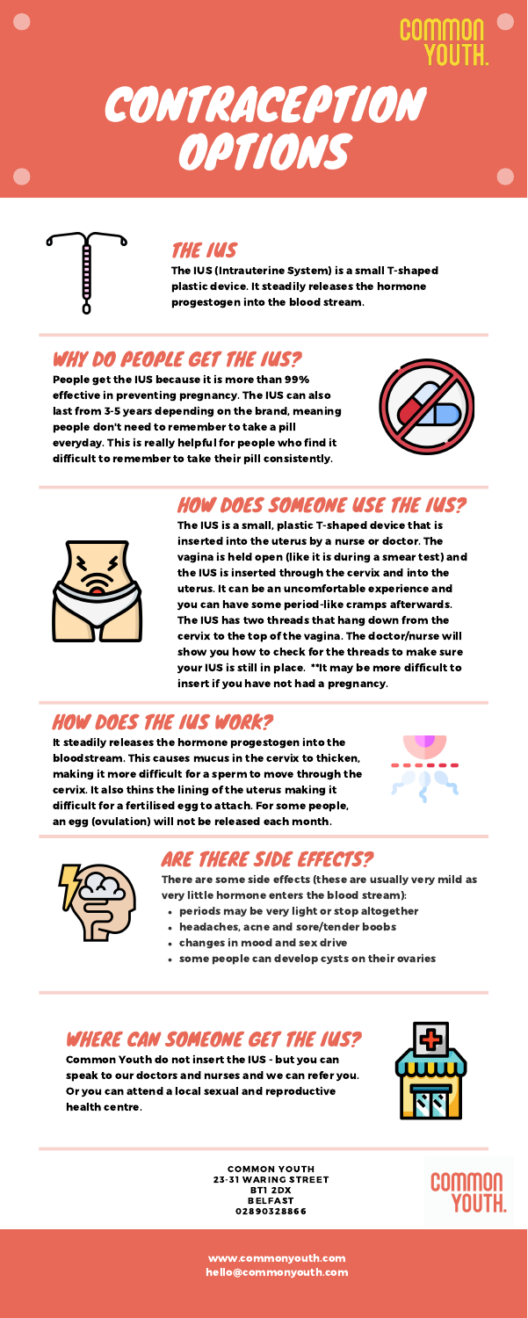





### THE IUS

The IUS (Intrauterine System) is a small T-shaped plastic device. It steadily releases the hormone progestogen into the blood stream.

### WHY DO PEOPLE GET THE IUS?

People get the IUS because it is more than 99% effective in preventing pregnancy. The IUS can also last from 3-5 years depending on the brand, meaning people don't need to remember to take a pill everyday. This is really helpful for people who find it difficult to remember to take their pill consistently.





### HOW DOES SOMEONE USE THE IUS?

The IUS is a small, plastic T-shaped device that is inserted into the uterus by a nurse or doctor. The vagina is held open (like it is during a smear test) and the IUS is inserted through the cervix and into the uterus. It can be an uncomfortable experience and you can have some period-like cramps afterwards. The IUS has two threads that hang down from the cervix to the top of the vagina. The doctor/nurse will show you how to check for the threads to make sure your IUS is still in place. \*\*It may be more difficult to insert if you have not had a pregnancy.

### HOW DOES THE IUS WORK?

It steadily releases the hormone progestogen into the bloodstream. This causes mucus in the cervix to thicken, making it more difficult for a sperm to move through the cervix. It also thins the lining of the uterus making it difficult for a fertilised egg to attach. For some people, an egg (ovulation) will not be released each month.





### ARE THERE SIDE EFFECTS?

- periods may be very light or stop altogether
- headaches, acne and sore/tender boobs
- changes in mood and sex drive
- some people can develop cysts on their ovaries

There are some side effects (these are usually very mild as very little hormone enters the blood stream):

### WHERE CAN SOMEONE GET THE IUS?

Common Youth do not insert the IUS - but you can speak to our doctors and nurses and we can refer you. Or you can attend a local sexual and reproductive health centre.



COMMON YOUTH 23-31 WARING STREET BT1 2DX BELFAST 02890328866

**COMM** 

www.commonyouth.com hello@commonyouth.com